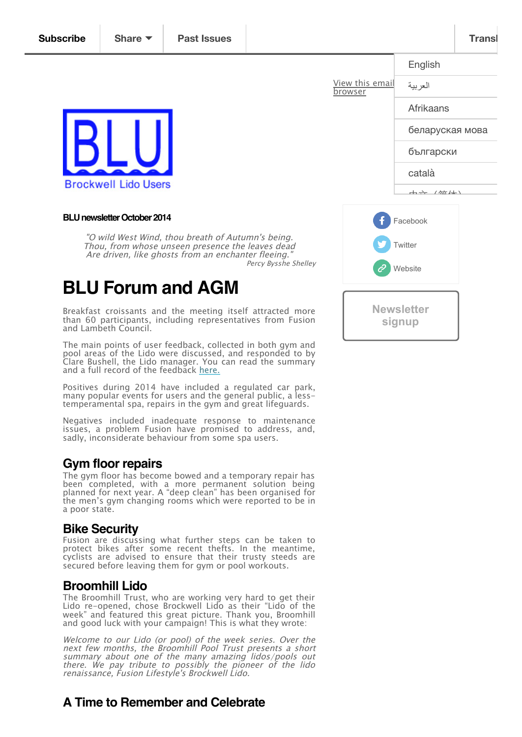

#### **BLU newsletter October 2014**

"O wild West Wind, thou breath of Autumn's being. Thou, from whose unseen presence the leaves dead Are driven, like ghosts from an enchanter fleeing. Percy Bysshe Shelley

# **BLU Forum and AGM**

Breakfast croissants and the meeting itself attracted more than 60 participants, including representatives from Fusion and Lambeth Council.

The main points of user feedback, collected in both gym and pool areas of the Lido were discussed, and responded to by Clare Bushell, the Lido manager. You can read the summary and a full record of the feedback <u>here.</u>

Positives during 2014 have included a regulated car park, many popular events for users and the general public, a lesstemperamental spa, repairs in the gym and great lifeguards.

Negatives included inadequate response to maintenance issues, a problem Fusion have promised to address, and, sadly, inconsiderate behaviour from some spa users.

#### **Gym floor repairs**

The gym floor has become bowed and a temporary repair has been completed, with a more permanent solution being planned for next year. A "deep clean" has been organised for the men's gym changing rooms which were reported to be in a poor state.

#### **Bike Security**

Fusion are discussing what further steps can be taken to protect bikes after some recent thefts. In the meantime, cyclists are advised to ensure that their trusty steeds are secured before leaving them for gym or pool workouts.

#### **Broomhill Lido**

The Broomhill Trust, who are working very hard to get their Lido re-opened, chose Brockwell Lido as their "Lido of the week" and featured this great picture. Thank you, Broomhill and good luck with your campaign! This is what they wrote:

Welcome to our Lido (or pool) of the week series. Over the next few months, the Broomhill Pool Trust presents <sup>a</sup> short summary about one of the many amazing lidos/pools out there. We pay tribute to possibly the pioneer of the lido renaissance, Fusion Lifestyle's Brockwell Lido.

## **A Time to Remember and Celebrate**

<span id="page-0-0"></span>

|                                   | English                                                                                                                                                                                                                                                                                                                                                                              |
|-----------------------------------|--------------------------------------------------------------------------------------------------------------------------------------------------------------------------------------------------------------------------------------------------------------------------------------------------------------------------------------------------------------------------------------|
| View this email<br><u>browser</u> | العربية                                                                                                                                                                                                                                                                                                                                                                              |
|                                   | Afrikaans                                                                                                                                                                                                                                                                                                                                                                            |
|                                   | беларуская мова                                                                                                                                                                                                                                                                                                                                                                      |
|                                   | български                                                                                                                                                                                                                                                                                                                                                                            |
|                                   | català                                                                                                                                                                                                                                                                                                                                                                               |
|                                   | $\overline{a}$ $\overline{a}$ $\overline{a}$ $\overline{a}$ $\overline{a}$ $\overline{a}$ $\overline{a}$ $\overline{a}$ $\overline{a}$ $\overline{a}$ $\overline{a}$ $\overline{a}$ $\overline{a}$ $\overline{a}$ $\overline{a}$ $\overline{a}$ $\overline{a}$ $\overline{a}$ $\overline{a}$ $\overline{a}$ $\overline{a}$ $\overline{a}$ $\overline{a}$ $\overline{a}$ $\overline{$ |
| Ŧ<br>Facebook                     |                                                                                                                                                                                                                                                                                                                                                                                      |
| Twitter                           |                                                                                                                                                                                                                                                                                                                                                                                      |
| Website<br>$\mathscr{C}$          |                                                                                                                                                                                                                                                                                                                                                                                      |
|                                   |                                                                                                                                                                                                                                                                                                                                                                                      |
| <b>Newsletter</b><br>signup       |                                                                                                                                                                                                                                                                                                                                                                                      |
|                                   |                                                                                                                                                                                                                                                                                                                                                                                      |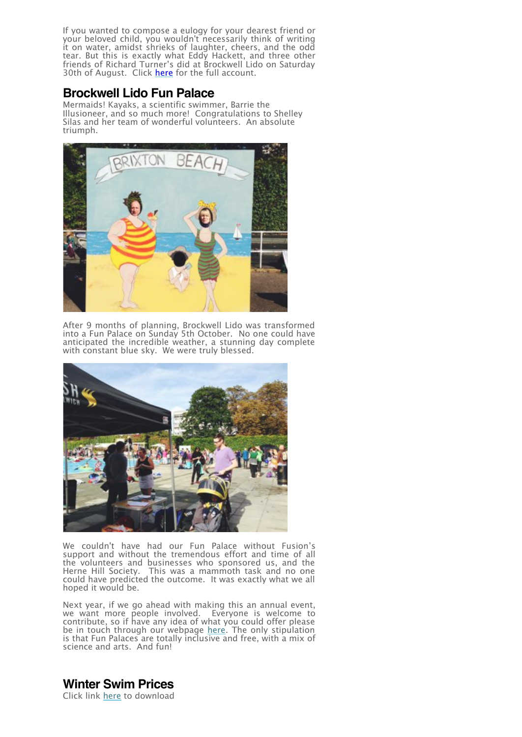If you wanted to compose a eulogy for your dearest friend or your beloved child, you wouldn't necessarily think of writing it on water, amidst shrieks of laughter, cheers, and the odd tear. But this is exactly what Eddy Hackett, and three other friends of Richard Turner's did at Brockwell Lido on Saturday 30th of August. Click <u>here</u> for the full account.

### **Brockwell Lido Fun Palace**

Mermaids! Kayaks, a scientific swimmer, Barrie the Illusioneer, and so much more! Congratulations to Shelley Silas and her team of wonderful volunteers. An absolute triumph.



After 9 months of planning, Brockwell Lido was transformed into a Fun Palace on Sunday 5th October. No one could have anticipated the incredible weather, a stunning day complete with constant blue sky. We were truly blessed.



We couldn't have had our Fun Palace without Fusion's support and without the tremendous effort and time of all the volunteers and businesses who sponsored us, and the Herne Hill Society. This was a mammoth task and no one could have predicted the outcome. It was exactly what we all hoped it would be.

Next year, if we go ahead with making this an annual event, we want more people involved. Everyone is welcome to contribute, so if have any idea of what you could offer please be in touch through our webpage here. The only stipulation is that Fun Palaces are totally inclusive and free, with a mix of science and arts. And fun!

**Winter Swim Prices**

Click link here to download